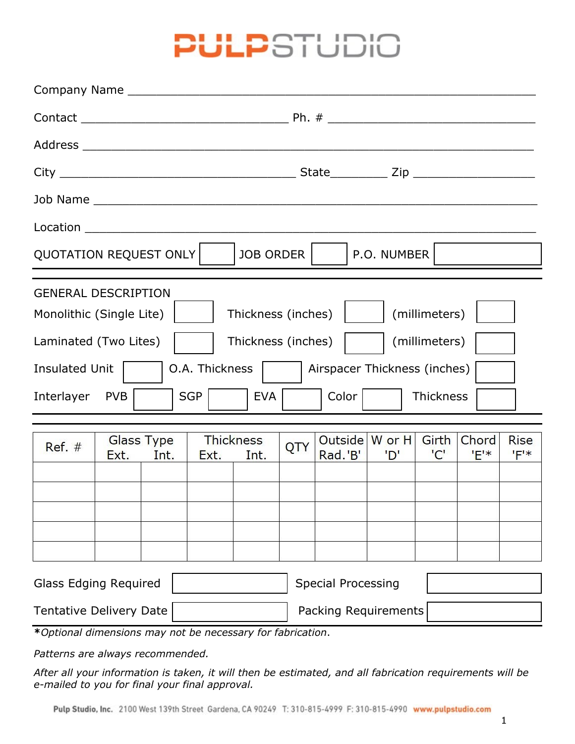## **PULP**STUDIO

| QUOTATION REQUEST ONLY<br>P.O. NUMBER  <br>JOB ORDER                                                                                                                             |                                                                                                                       |  |  |  |  |  |
|----------------------------------------------------------------------------------------------------------------------------------------------------------------------------------|-----------------------------------------------------------------------------------------------------------------------|--|--|--|--|--|
| <b>GENERAL DESCRIPTION</b><br>Monolithic (Single Lite)  <br>Thickness (inches)<br>Laminated (Two Lites)<br>O.A. Thickness<br>Insulated Unit  <br>SGP<br>Interlayer<br>PVB<br>EVA | Thickness (inches)  <br>(millimeters)<br>(millimeters)<br>Airspacer Thickness (inches)<br>Color  <br><b>Thickness</b> |  |  |  |  |  |

| $Ref. \#$ | Ext. | Glass Type<br>Int. | Ext. | Thickness<br>Int. | QTY | Outside   W or H   Girth   Chord   Rise<br>Rad.'B' | 'D' | $^{\prime}$ C' | $F^*$ | $F^*$ |
|-----------|------|--------------------|------|-------------------|-----|----------------------------------------------------|-----|----------------|-------|-------|
|           |      |                    |      |                   |     |                                                    |     |                |       |       |
|           |      |                    |      |                   |     |                                                    |     |                |       |       |
|           |      |                    |      |                   |     |                                                    |     |                |       |       |
|           |      |                    |      |                   |     |                                                    |     |                |       |       |
|           |      |                    |      |                   |     |                                                    |     |                |       |       |
|           |      |                    |      |                   |     |                                                    |     |                |       |       |

| Glass Edging Required   | <b>Special Processing</b> |  |
|-------------------------|---------------------------|--|
| Tentative Delivery Date | Packing Requirements      |  |

**\****Optional dimensions may not be necessary for fabrication*.

*Patterns are always recommended.*

*After all your information is taken, it will then be estimated, and all fabrication requirements will be e-mailed to you for final your final approval.*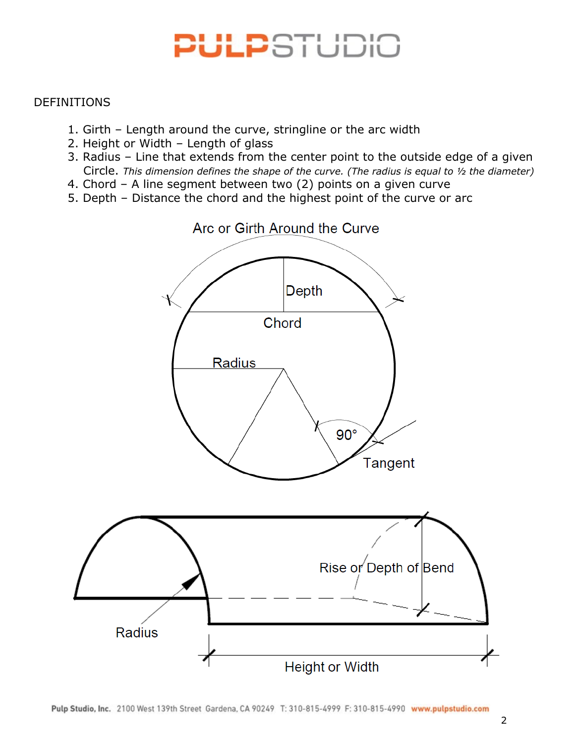# PULPSTUDIO

#### DEFINITIONS

- 1. Girth Length around the curve, stringline or the arc width
- 2. Height or Width Length of glass
- 3. Radius Line that extends from the center point to the outside edge of a given Circle. *This dimension defines the shape of the curve. (The radius is equal to ½ the diameter)*
- 4. Chord A line segment between two (2) points on a given curve
- 5. Depth Distance the chord and the highest point of the curve or arc